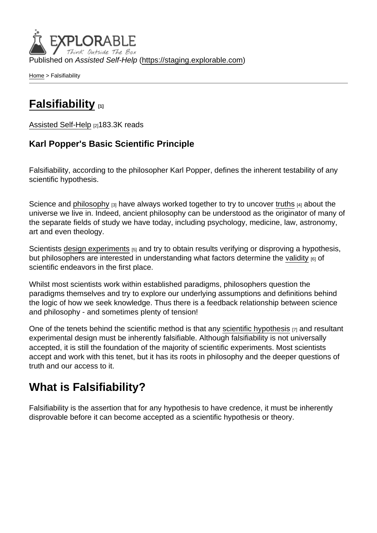Published on Assisted Self-Help [\(https://staging.explorable.com](https://staging.explorable.com))

[Home](https://staging.explorable.com/en) > Falsifiability

## **[Falsifiability](https://staging.explorable.com/en/falsifiability)**

[Assisted Self-Help](https://staging.explorable.com/en) [2]183.3K reads

Karl Popper's Basic Scientific Principle

Falsifiability, according to the philosopher Karl Popper, defines the inherent testability of any scientific hypothesis.

Science and [philosophy](https://explorable.com/philosophy-of-science)  $[3]$  have always worked together to try to uncover [truths](https://explorable.com/truth-and-theory)  $[4]$  about the universe we live in. Indeed, ancient philosophy can be understood as the originator of many of the separate fields of study we have today, including psychology, medicine, law, astronomy, art and even theology.

Scientists [design experiments](https://explorable.com/design-of-experiment) [5] and try to obtain results verifying or disproving a hypothesis, but philosophers are interested in understanding what factors determine the [validity](https://explorable.com/types-of-validity) [6] of scientific endeavors in the first place.

Whilst most scientists work within established paradigms, philosophers question the paradigms themselves and try to explore our underlying assumptions and definitions behind the logic of how we seek knowledge. Thus there is a feedback relationship between science and philosophy - and sometimes plenty of tension!

One of the tenets behind the scientific method is that any [scientific hypothesis](https://explorable.com/research-hypothesis) [7] and resultant experimental design must be inherently falsifiable. Although falsifiability is not universally accepted, it is still the foundation of the majority of scientific experiments. Most scientists accept and work with this tenet, but it has its roots in philosophy and the deeper questions of truth and our access to it.

## What is Falsifiability?

Falsifiability is the assertion that for any hypothesis to have credence, it must be inherently disprovable before it can become accepted as a scientific hypothesis or theory.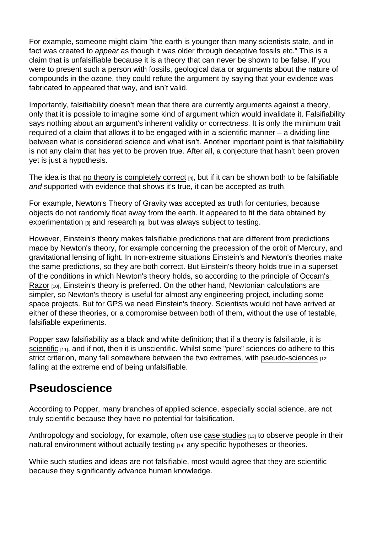For example, someone might claim "the earth is younger than many scientists state, and in fact was created to appear as though it was older through deceptive fossils etc." This is a claim that is unfalsifiable because it is a theory that can never be shown to be false. If you were to present such a person with fossils, geological data or arguments about the nature of compounds in the ozone, they could refute the argument by saying that your evidence was fabricated to appeared that way, and isn't valid.

Importantly, falsifiability doesn't mean that there are currently arguments against a theory, only that it is possible to imagine some kind of argument which would invalidate it. Falsifiability says nothing about an argument's inherent validity or correctness. It is only the minimum trait required of a claim that allows it to be engaged with in a scientific manner – a dividing line between what is considered science and what isn't. Another important point is that falsifiability is not any claim that has yet to be proven true. After all, a conjecture that hasn't been proven yet is just a hypothesis.

The idea is that [no theory is completely correct](https://explorable.com/truth-and-theory) [4], but if it can be shown both to be falsifiable and supported with evidence that shows it's true, it can be accepted as truth.

For example, Newton's Theory of Gravity was accepted as truth for centuries, because objects do not randomly float away from the earth. It appeared to fit the data obtained by [experimentation](https://explorable.com/conducting-an-experiment)  $[8]$  and [research](https://explorable.com/what-is-research)  $[9]$ , but was always subject to testing.

However, Einstein's theory makes falsifiable predictions that are different from predictions made by Newton's theory, for example concerning the precession of the orbit of Mercury, and gravitational lensing of light. In non-extreme situations Einstein's and Newton's theories make the same predictions, so they are both correct. But Einstein's theory holds true in a superset of the conditions in which Newton's theory holds, so according to the principle of [Occam's](http://explorable.com/occams-razor)  [Razor](http://explorable.com/occams-razor) [10], Einstein's theory is preferred. On the other hand, Newtonian calculations are simpler, so Newton's theory is useful for almost any engineering project, including some space projects. But for GPS we need Einstein's theory. Scientists would not have arrived at either of these theories, or a compromise between both of them, without the use of testable, falsifiable experiments.

Popper saw falsifiability as a black and white definition; that if a theory is falsifiable, it is [scientific](https://explorable.com/what-is-the-scientific-method) [11], and if not, then it is unscientific. Whilst some "pure" sciences do adhere to this strict criterion, many fall somewhere between the two extremes, with [pseudo-sciences](https://explorable.com/pseudoscience) [12] falling at the extreme end of being unfalsifiable.

## Pseudoscience

According to Popper, many branches of applied science, especially social science, are not truly scientific because they have no potential for falsification.

Anthropology and sociology, for example, often use [case studies](https://explorable.com/case-study-research-design)  $[13]$  to observe people in their natural environment without actually [testing](https://explorable.com/hypothesis-testing)  $[14]$  any specific hypotheses or theories.

While such studies and ideas are not falsifiable, most would agree that they are scientific because they significantly advance human knowledge.